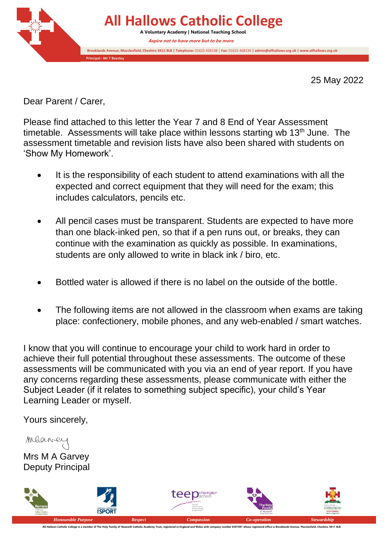

25 May 2022

Dear Parent / Carer,

Please find attached to this letter the Year 7 and 8 End of Year Assessment timetable. Assessments will take place within lessons starting wb  $13<sup>th</sup>$  June. The assessment timetable and revision lists have also been shared with students on 'Show My Homework'.

- It is the responsibility of each student to attend examinations with all the expected and correct equipment that they will need for the exam; this includes calculators, pencils etc.
- All pencil cases must be transparent. Students are expected to have more than one black-inked pen, so that if a pen runs out, or breaks, they can continue with the examination as quickly as possible. In examinations, students are only allowed to write in black ink / biro, etc.
- Bottled water is allowed if there is no label on the outside of the bottle.
- The following items are not allowed in the classroom when exams are taking place: confectionery, mobile phones, and any web-enabled / smart watches.

I know that you will continue to encourage your child to work hard in order to achieve their full potential throughout these assessments. The outcome of these assessments will be communicated with you via an end of year report. If you have any concerns regarding these assessments, please communicate with either the Subject Leader (if it relates to something subject specific), your child's Year Learning Leader or myself.

Yours sincerely,

Maane Mrs M A Garvey Deputy Principal



.<br>All Hallows Catholic College is a member of The Holy Family of Nazareth Catholic Academy Trust, registered in Engla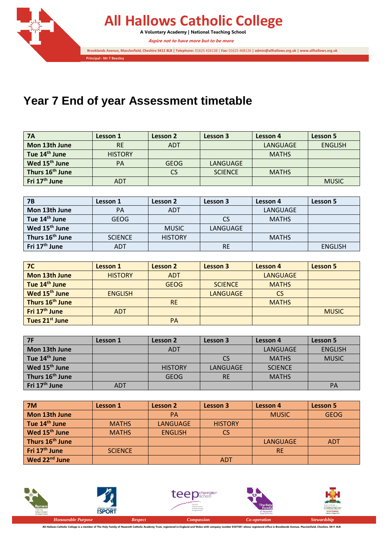

## **Year 7 End of year Assessment timetable**

| <b>7A</b>                   | Lesson 1       | Lesson 2    | Lesson 3       | Lesson 4     | Lesson 5       |
|-----------------------------|----------------|-------------|----------------|--------------|----------------|
| Mon 13th June               | <b>RE</b>      | <b>ADT</b>  |                | LANGUAGE     | <b>ENGLISH</b> |
| Tue 14 <sup>th</sup> June   | <b>HISTORY</b> |             |                | <b>MATHS</b> |                |
| Wed 15 <sup>th</sup> June   | <b>PA</b>      | <b>GEOG</b> | LANGUAGE       |              |                |
| Thurs 16 <sup>th</sup> June |                | CS          | <b>SCIENCE</b> | <b>MATHS</b> |                |
| Fri 17 <sup>th</sup> June   | ADT            |             |                |              | <b>MUSIC</b>   |

| <b>7B</b>                   | Lesson 1       | Lesson 2       | Lesson 3  | Lesson 4     | Lesson 5       |
|-----------------------------|----------------|----------------|-----------|--------------|----------------|
| Mon 13th June               | <b>PA</b>      | <b>ADT</b>     |           | LANGUAGE     |                |
| Tue 14 <sup>th</sup> June   | <b>GEOG</b>    |                | <b>CS</b> | <b>MATHS</b> |                |
| Wed 15 <sup>th</sup> June   |                | <b>MUSIC</b>   | LANGUAGE  |              |                |
| Thurs 16 <sup>th</sup> June | <b>SCIENCE</b> | <b>HISTORY</b> |           | <b>MATHS</b> |                |
| Fri 17 <sup>th</sup> June   | <b>ADT</b>     |                | <b>RE</b> |              | <b>ENGLISH</b> |

| 7 <sup>C</sup>              | <b>Lesson 1</b> | Lesson 2    | Lesson 3        | Lesson 4        | Lesson 5     |
|-----------------------------|-----------------|-------------|-----------------|-----------------|--------------|
| Mon 13th June               | <b>HISTORY</b>  | <b>ADT</b>  |                 | <b>LANGUAGE</b> |              |
| Tue 14 <sup>th</sup> June   |                 | <b>GEOG</b> | <b>SCIENCE</b>  | <b>MATHS</b>    |              |
| Wed 15 <sup>th</sup> June   | <b>ENGLISH</b>  |             | <b>LANGUAGE</b> | <b>CS</b>       |              |
| Thurs 16 <sup>th</sup> June |                 | <b>RE</b>   |                 | <b>MATHS</b>    |              |
| Fri 17 <sup>th</sup> June   | <b>ADT</b>      |             |                 |                 | <b>MUSIC</b> |
| Tues 21 <sup>st</sup> June  |                 | <b>PA</b>   |                 |                 |              |

| <b>7F</b>                   | Lesson 1   | Lesson 2       | Lesson 3  | Lesson 4       | Lesson 5       |
|-----------------------------|------------|----------------|-----------|----------------|----------------|
| Mon 13th June               |            | <b>ADT</b>     |           | LANGUAGE       | <b>ENGLISH</b> |
| Tue 14 <sup>th</sup> June   |            |                | <b>CS</b> | <b>MATHS</b>   | <b>MUSIC</b>   |
| Wed 15 <sup>th</sup> June   |            | <b>HISTORY</b> | LANGUAGE  | <b>SCIENCE</b> |                |
| Thurs 16 <sup>th</sup> June |            | <b>GEOG</b>    | <b>RE</b> | <b>MATHS</b>   |                |
| Fri 17 <sup>th</sup> June   | <b>ADT</b> |                |           |                | PA             |

| <b>7M</b>                   | <b>Lesson 1</b> | Lesson 2       | <b>Lesson 3</b> | <b>Lesson 4</b> | <b>Lesson 5</b> |
|-----------------------------|-----------------|----------------|-----------------|-----------------|-----------------|
| Mon 13th June               |                 | <b>PA</b>      |                 | <b>MUSIC</b>    | <b>GEOG</b>     |
| Tue 14 <sup>th</sup> June   | <b>MATHS</b>    | LANGUAGE       | <b>HISTORY</b>  |                 |                 |
| Wed 15 <sup>th</sup> June   | <b>MATHS</b>    | <b>ENGLISH</b> | <b>CS</b>       |                 |                 |
| Thurs 16 <sup>th</sup> June |                 |                |                 | <b>LANGUAGE</b> | <b>ADT</b>      |
| Fri 17 <sup>th</sup> June   | <b>SCIENCE</b>  |                |                 | <b>RE</b>       |                 |
| Wed 22 <sup>nd</sup> June   |                 |                | <b>ADT</b>      |                 |                 |



All Hallows Catholic College is a member of The Holy Family of Nazareth Catholic Academy Trust, registered in England and Wales with company number 8307881 whose registered office is Brooklands Avenue, Macclesfield, Cheshi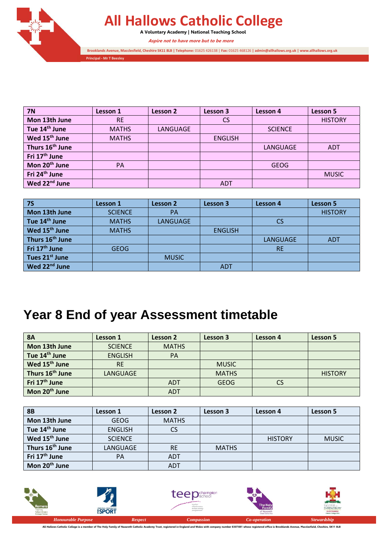

## **All Hallows Catholic College**

**A Voluntary Academy | National Teaching School**

**Aspire not to have more but to be more** 

**Brooklands Avenue, Macclesfield, Cheshire SK11 8LB | Telephone:** 01625 426138 | **Fax:** 01625 468126 **| admin@allhallows.org.uk | www.allhallows.org.uk**

**Principal - Mr T Beesley**

| <b>7N</b>                   | Lesson 1     | Lesson 2        | Lesson 3       | Lesson 4       | Lesson 5       |
|-----------------------------|--------------|-----------------|----------------|----------------|----------------|
| Mon 13th June               | <b>RE</b>    |                 | <b>CS</b>      |                | <b>HISTORY</b> |
| Tue 14 <sup>th</sup> June   | <b>MATHS</b> | <b>LANGUAGE</b> |                | <b>SCIENCE</b> |                |
| Wed 15 <sup>th</sup> June   | <b>MATHS</b> |                 | <b>ENGLISH</b> |                |                |
| Thurs 16 <sup>th</sup> June |              |                 |                | LANGUAGE       | <b>ADT</b>     |
| Fri 17 <sup>th</sup> June   |              |                 |                |                |                |
| Mon 20 <sup>th</sup> June   | PA           |                 |                | <b>GEOG</b>    |                |
| Fri 24 <sup>th</sup> June   |              |                 |                |                | <b>MUSIC</b>   |
| Wed 22 <sup>nd</sup> June   |              |                 | <b>ADT</b>     |                |                |

| 75                          | Lesson 1       | Lesson 2     | <b>Lesson 3</b> | Lesson 4        | <b>Lesson 5</b> |
|-----------------------------|----------------|--------------|-----------------|-----------------|-----------------|
| Mon 13th June               | <b>SCIENCE</b> | <b>PA</b>    |                 |                 | <b>HISTORY</b>  |
| Tue 14 <sup>th</sup> June   | <b>MATHS</b>   | LANGUAGE     |                 | <b>CS</b>       |                 |
| Wed 15 <sup>th</sup> June   | <b>MATHS</b>   |              | <b>ENGLISH</b>  |                 |                 |
| Thurs 16 <sup>th</sup> June |                |              |                 | <b>LANGUAGE</b> | <b>ADT</b>      |
| Fri 17 <sup>th</sup> June   | <b>GEOG</b>    |              |                 | <b>RE</b>       |                 |
| Tues 21 <sup>st</sup> June  |                | <b>MUSIC</b> |                 |                 |                 |
| Wed 22 <sup>nd</sup> June   |                |              | <b>ADT</b>      |                 |                 |

## **Year 8 End of year Assessment timetable**

| <b>8A</b>                   | Lesson 1       | Lesson 2     | Lesson 3     | Lesson 4  | Lesson 5       |
|-----------------------------|----------------|--------------|--------------|-----------|----------------|
| Mon 13th June               | <b>SCIENCE</b> | <b>MATHS</b> |              |           |                |
| Tue 14 <sup>th</sup> June   | <b>ENGLISH</b> | <b>PA</b>    |              |           |                |
| Wed 15 <sup>th</sup> June   | <b>RE</b>      |              | <b>MUSIC</b> |           |                |
| Thurs 16 <sup>th</sup> June | LANGUAGE       |              | <b>MATHS</b> |           | <b>HISTORY</b> |
| Fri 17 <sup>th</sup> June   |                | <b>ADT</b>   | GEOG         | <b>CS</b> |                |
| Mon 20 <sup>th</sup> June   |                | <b>ADT</b>   |              |           |                |

| <b>8B</b>                   | Lesson 1       | Lesson 2     | Lesson 3     | Lesson 4       | Lesson 5     |
|-----------------------------|----------------|--------------|--------------|----------------|--------------|
| Mon 13th June               | <b>GEOG</b>    | <b>MATHS</b> |              |                |              |
| Tue 14 <sup>th</sup> June   | <b>ENGLISH</b> | CS           |              |                |              |
| Wed 15 <sup>th</sup> June   | <b>SCIENCE</b> |              |              | <b>HISTORY</b> | <b>MUSIC</b> |
| Thurs 16 <sup>th</sup> June | LANGUAGE       | <b>RE</b>    | <b>MATHS</b> |                |              |
| Fri 17 <sup>th</sup> June   | PA             | <b>ADT</b>   |              |                |              |
| Mon 20 <sup>th</sup> June   |                | <b>ADT</b>   |              |                |              |



All Hallows Catholic College is a member of The Holy Family of Nazareth Catholic Academy Trust, registered in England and Wales with company number 8307881 whose registered office is Brooklands Avenue, Macclesfield, Cheshi